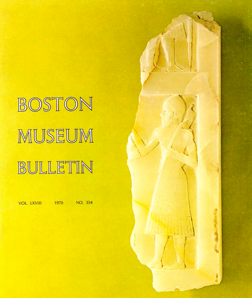# BOSTON MUSEUM BULLETIN

1970

**VOL. LXVIII** 

**NO. 354** 

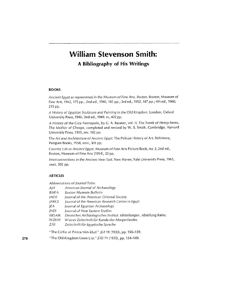## **William Stevenson Smith: A Bibliography of His Writings**

#### **BOOKS**

Ancient Egypt as represented in the Museum of Fine Arts, Boston. Boston, Museum of Fine Arts, 1942,175 pp.; 2nd ed., 1946,185 pp.; 3rd ed., 1952,187 pp.; 4th ed., 1960, 215 pp.

A History of Egyptian Sculpture and Painting in the Old Kingdom. London, Oxford University Press, 1946; 2nd ed., 1949, xv, 422 pp.

A History of the Giza Necropolis, by G. A. Reisner, vol. **II,** The Tomb of Hetep-heres, The Mother of Cheops, completed and revised by W. S. Smith. Cambridge, Harvard University Press, 1955, xxv, 102 pp.

The Art and Architecture of Ancient Egypt. The Pelican History of Art. Baltimore, Penguin Books, 1958, xxvii, 301 pp.

Country *Life* in Ancient Egypt. Museum of Fine Arts Picture Book, no. 2, 2nd ed., Boston, Museum of Fine Arts [1954], 32 pp.

lnterconnections in the Ancient Near *East.* New Haven, Yale University Press, 1965, xxxii, 202 **pp.** 

### **ARTICLES**

Abbreviations of journal Titles

| AJA |  | American Journal of Archaeology |
|-----|--|---------------------------------|
|     |  |                                 |

- *BMfA* Boston Museum Bulletin
- JAOS JARCE JEA *JNES*  journal of the American Oriental Society journal of the American Research Center *in* Egypt *Journal* of Egyptian Archaeology journal of Near Eastern Studies
- MDAlK Deutsches Archäologisches Institut. Mitteilungen. Abteilung Kairo.
- WZKM Wiener Zeitschrift für Kunde des Morgenlandes
- ZAS Zeitschrift fur agyptische Sprache

"The Coffin of Prince Min-khaf." JEA 19 (1933), pp. 150-159.

"The Old Kingdom Linen List." ZAS 71 (1935), pp. 134-149.

**270**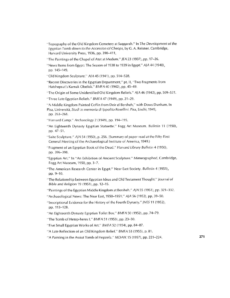- "Topography of the Old Kingdom Cemetery at Saqqarah." In The Development *of* the Egyptian Tomb down to the Accession of Cheops, by G. A. Reisner. Cambridge, Harvard University Press, 1936, pp. 390-411.
- "The Paintings of the Chapel of Atet at Medum." JEA 23 (1937), pp. 17-26.
- "News Items from Egypt: The Season of 1938 to 1939 in Egypt." AJA 44 (1940), pp. 145-149.
- "Old Kingdom Sculpture." AJA 45 (1941), pp. 514-528.
- "Recent Discoveries in the Egyptian Department," pt. II, "Two Fragments from Hatshepsut's Karnak Obelisk." BMFA 40 (1942), pp. 45-49.
- "The Origin of Some Unidentified Old Kingdom Reliefs." AJA 46 (1942), pp. 509-531.
- "Three Late Egyptian Reliefs." BMFA 47 (1949), pp. 21-29.
- "A Middle Kingdom Painted Coffin from Deir el Bersheh," with Dows Dunham. In Pisa, Universita. Studi in memoria di lppolito Rosellini. Pisa, Lischi, 1949, pp. 263-268.
- "Harvard Camp." Archaeology 2 (1949), pp. 194-195.
- "An Eighteenth Dynasty Egyptian Statuette." Fogg Art Museum. Bulletin 11 (1950), pp. 47-51.
- "Saite Sculpture." AJA 54 (1950), p. 256. (Summary of paper read at the Fifty-First General Meeting of the Archaeological Institute of America, 1949.)
- "Fragment of an Egyptian Book of the Dead." Harvard Library Bulletin 4 (1950), pp. 396-398.
- "Egyptian Art." In "An Exhibition of Ancient Sculpture." Mimeographed. Cambridge, Fogg Art Museum, 1950, pp. 3-7.
- "The American Research Center in Egypt." Near East Society. Bulletin 4 (1951), pp. 9-10.
- Bible and Religion 19 (1951), pp. 12-15. "The Relationship between Egyptian Ideas and Old Testament Thought." journal of
- "Paintings of the Egyptian Middle Kingdom at Bersheh." AJA 55 (1951), pp. 321-332.
- "Archaeological News: The Near East, 1950-1951." AJA 56 (1952), pp. 39-50.
- "Inscriptional Evidence for the History of the Fourth Dynasty." *JNES* 11 (1952), pp. 113-128.
- "An Eighteenth Dynasty Egyptian Toilet Box." BMFA 50 (1952), pp. 74-79.
- "The Tomb of Hetep-heres I." BMFA 51 (1953), pp. 23-30.
- "Five Small Egyptian Works of Art." BMFA 52 (1954), pp. 84-87.
- "A Late Reflection of an Old Kingdom Relief." BMFA 53 (1955), p. 81.
- "A Painting in the Assiut Tomb of Hepzefa." MDAlK 15 (1957), pp. 221-224. **271**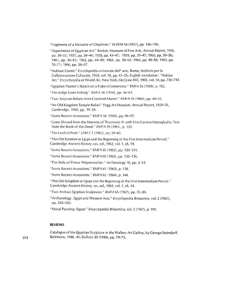"Fragments of a Statuette of Chephren." WZKM 54 (1957), pp. 186-190.

- "Department of Egyptian Art." Boston, Museum of Fine Arts. Annual Report, 1956, pp. 30-33; 1957, pp. 38-44; 1958, pp. 43-47; 1959, pp. 39-47; 1960, pp. 50-56; 1961, pp. 50-61; 1962, pp. 44-49; 1963, pp. 58-63; 1964, pp. 48-56; 1965, pp. 70-71; 1966, pp. 56-57.
- "Nubiani Centri." Enciclopedia universale dell' arte. Rome, Instituto per la Collaborazione Culturale, 1958, vol. 10, pp. 43-55; English translation: "Nubian Art." Encyclopedia *of* World Art. New York, McGraw-Hill, 1965, vol. IO, pp. 730-743.
- "Egyptian Painter's Sketch on a Flake of Limestone." BMFA 56 (1958), p. 102.
- "The Judge Goes Fishing." BMFA 56 (1958), pp. 56-63.
- "Two Assyrian Reliefs from Cranford Manor." BMFA 58 (1960), pp. 44-55.
- "An Old Kingdom Temple Relief." Fogg Art Museum. Annual Report, 1958-59, Cambridge, 1960, pp. 19-24.
- "Some Recent Accessions." BMFA 58 (1960), pp. 96-97.
- "Linen Shroud from the Mummy of Thutmosis Ill with Fine Cursive Hieroglyphic Text from the Book of the Dead." BMFA 59 (1961), p. 120.
- "The Land of Punt." JARCE 1 (1962), pp. 59-60.
- "The Old Kindom in Egypt and the Beginning of the First Intermediate Period." Cambridge Ancient History, rev. ed., 1962, vol. 1, ch. 14.
- "Some Recent Accessions." BMFA 60 (1962), pp. 120-121.
- "Some Recent Accessions." BMFA 60 (1962), pp. 132-136.
- "The Stela of Prince Wepemnofret." Archaeology 16, pp. 2-13.
- "Some Recent Accessions." BMFA 61 (1963), p. 118.
- "Some Recent Accessions.'' BMFA 62 (1964), p. 144.
- "The Old Kingdom in Egypt and the Beginning of the First Intermediate Period." Cambridge Ancient History, rev. ed., 1965, vol. 1, ch. 14.
- "Two Archaic Egyptian Sculptures." BMFA 65 (1967), pp. 70-84.
- "Archaeology: Egypt and Western Asia." Encyclopedia Britannica, vol. 2 (1967), pp. 242-243.
- "Mural Painting: Egypt." Encyclopedia Britannica, vol. 2 (1967), p. 999.

#### **REVIEWS**

Catalogue *of* the Egyptian Sculpture in the Walters Art Gallery, by George Steindorff. Baltimore, 1946. Art Bulletin 30 (1948), pp. 74-75. **272**